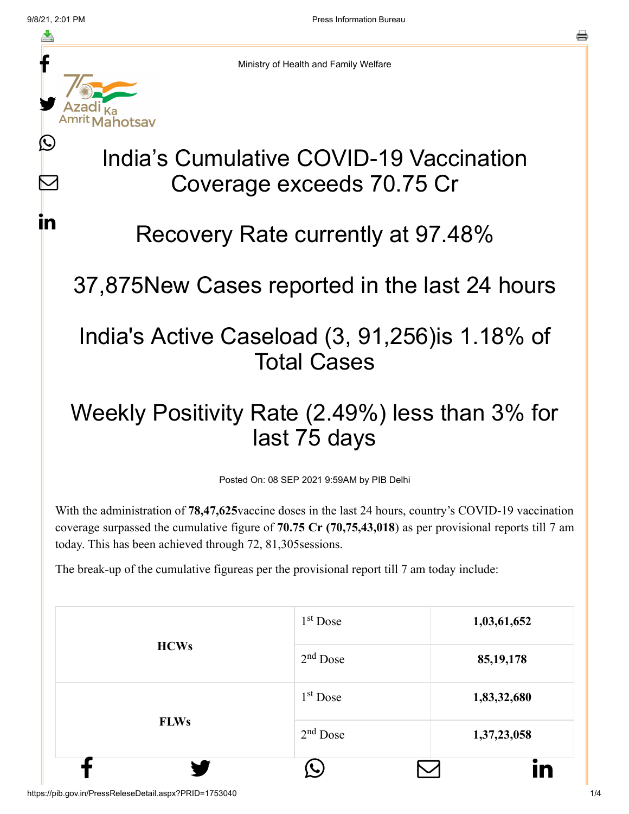M

<u>in</u>



Ministry of Health and Family Welfare

# India's Cumulative COVID-19 Vaccination Coverage exceeds 70.75 Cr

### Recovery Rate currently at 97.48%

#### 37,875New Cases reported in the last 24 hours

## India's Active Caseload (3, 91,256)is 1.18% of Total Cases

## Weekly Positivity Rate (2.49%) less than 3% for last 75 days

Posted On: 08 SEP 2021 9:59AM by PIB Delhi

With the administration of **78,47,625**vaccine doses in the last 24 hours, country's COVID-19 vaccination coverage surpassed the cumulative figure of **70.75 Cr (70,75,43,018**) as per provisional reports till 7 am today. This has been achieved through 72, 81,305sessions.

The break-up of the cumulative figureas per the provisional report till 7 am today include:

|             | $1st$ Dose | 1,03,61,652     |
|-------------|------------|-----------------|
| <b>HCWs</b> | $2nd$ Dose | 85, 19, 178     |
|             | $1st$ Dose | 1,83,32,680     |
| <b>FLWs</b> | $2nd$ Dose | 1,37,23,058     |
|             |            | $\bullet$<br>in |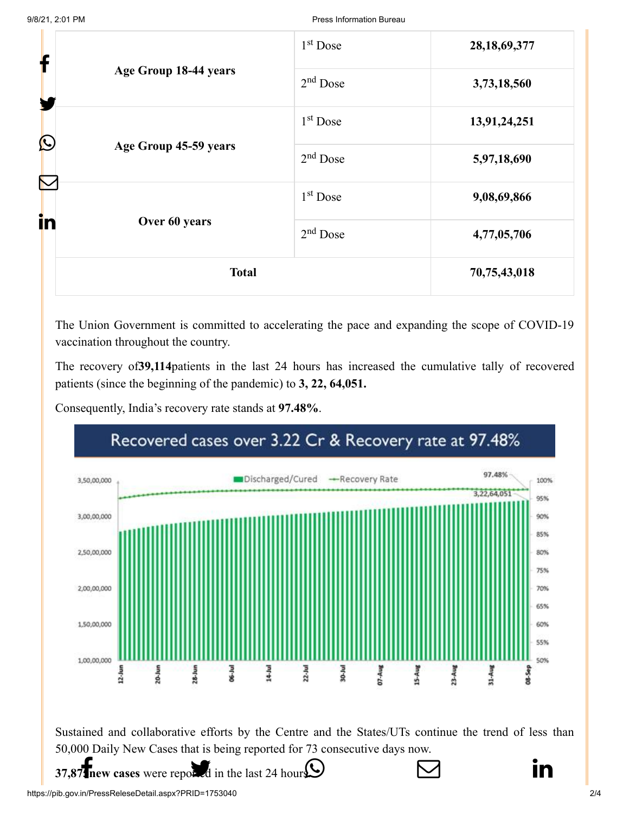| f                                   |                       | $1st$ Dose   | 28, 18, 69, 377 |
|-------------------------------------|-----------------------|--------------|-----------------|
| Age Group 18-44 years<br>$\bigcirc$ | $2nd$ Dose            | 3,73,18,560  |                 |
|                                     | $1st$ Dose            | 13,91,24,251 |                 |
|                                     | Age Group 45-59 years | $2nd$ Dose   | 5,97,18,690     |
|                                     |                       | $1st$ Dose   | 9,08,69,866     |
| in                                  | Over 60 years         | $2nd$ Dose   | 4,77,05,706     |
|                                     | <b>Total</b>          |              | 70,75,43,018    |

The Union Government is committed to accelerating the pace and expanding the scope of COVID-19 vaccination throughout the country.

The recovery of**39,114**patients in the last 24 hours has increased the cumulative tally of recovered patients (since the beginning of the pandemic) to **3, 22, 64,051.**

Consequently, India's recovery rate stands at **97.48%**.

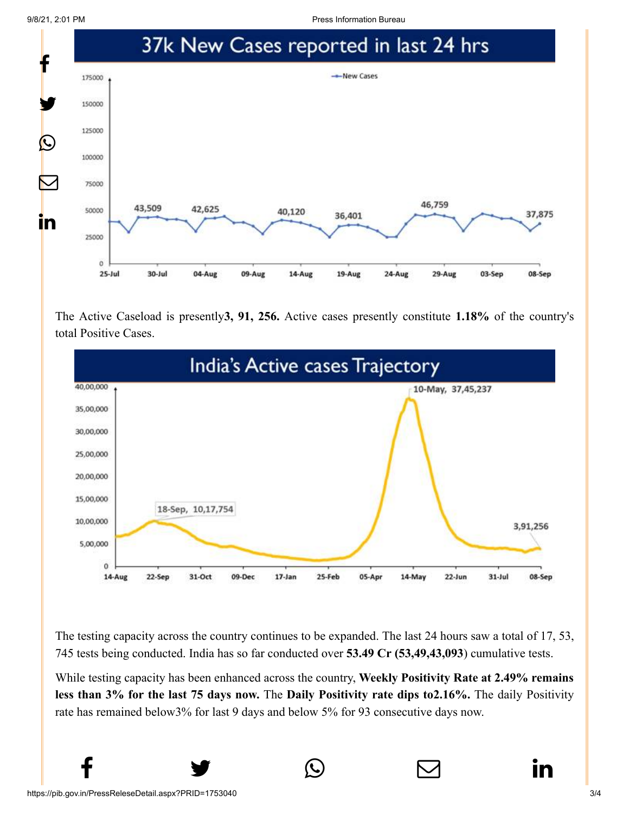9/8/21, 2:01 PM Press Information Bureau



The Active Caseload is presently**3, 91, 256.** Active cases presently constitute **1.18%** of the country's total Positive Cases.



The testing capacity across the country continues to be expanded. The last 24 hours saw a total of 17, 53, 745 tests being conducted. India has so far conducted over **53.49 Cr (53,49,43,093**) cumulative tests.

While testing capacity has been enhanced across the country, **Weekly Positivity Rate at 2.49% remains less than 3% for the last 75 days now.** The **Daily Positivity rate dips to2.16%.** The daily Positivity rate has remained below3% for last 9 days and below 5% for 93 consecutive days now.

 $f$   $\rightarrow$   $\circ$   $\quad \circ$  in